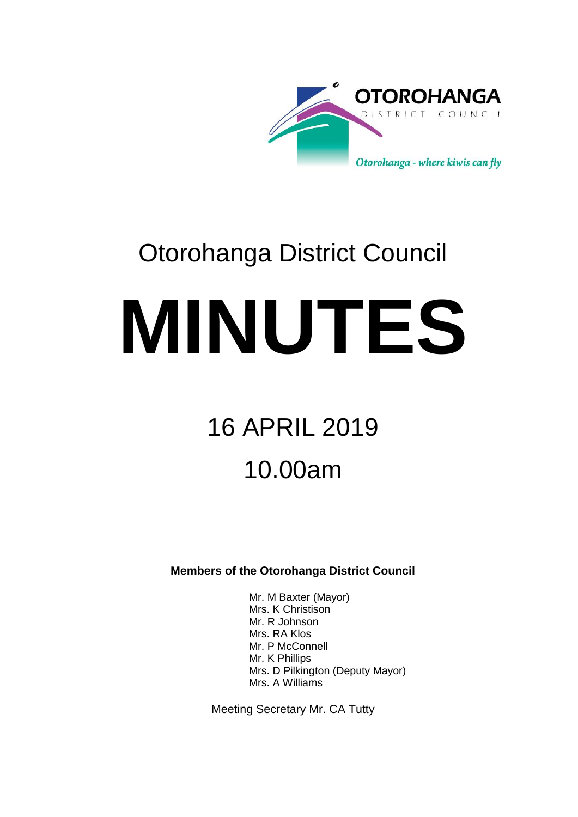

# Otorohanga District Council **MINUTES**

# 16 APRIL 2019 10.00am

**Members of the Otorohanga District Council**

Mr. M Baxter (Mayor) Mrs. K Christison Mr. R Johnson Mrs. RA Klos Mr. P McConnell Mr. K Phillips Mrs. D Pilkington (Deputy Mayor) Mrs. A Williams

Meeting Secretary Mr. CA Tutty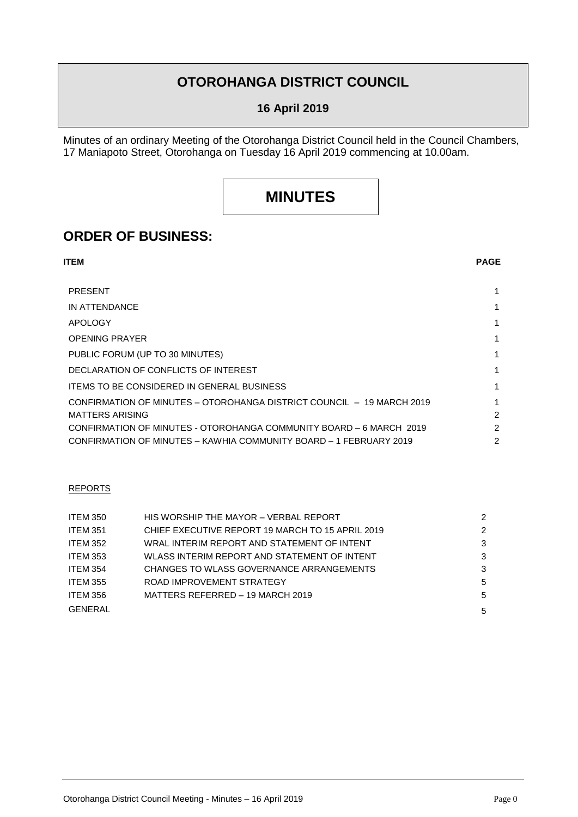# **OTOROHANGA DISTRICT COUNCIL**

### **16 April 2019**

Minutes of an ordinary Meeting of the Otorohanga District Council held in the Council Chambers, 17 Maniapoto Street, Otorohanga on Tuesday 16 April 2019 commencing at 10.00am.

# **MINUTES**

# **ORDER OF BUSINESS:**

| ITEM                                                                  | <b>PAGE</b>    |
|-----------------------------------------------------------------------|----------------|
| <b>PRESENT</b>                                                        | 1.             |
| IN ATTENDANCE                                                         | 1              |
| <b>APOLOGY</b>                                                        | 1              |
| <b>OPENING PRAYER</b>                                                 | 1              |
| PUBLIC FORUM (UP TO 30 MINUTES)                                       | 1              |
| DECLARATION OF CONFLICTS OF INTEREST                                  | 1              |
| <b>ITEMS TO BE CONSIDERED IN GENERAL BUSINESS</b>                     | 1.             |
| CONFIRMATION OF MINUTES - OTOROHANGA DISTRICT COUNCIL - 19 MARCH 2019 | 1              |
| <b>MATTERS ARISING</b>                                                | $\mathfrak{p}$ |
| CONFIRMATION OF MINUTES - OTOROHANGA COMMUNITY BOARD - 6 MARCH 2019   | 2              |
| CONFIRMATION OF MINUTES – KAWHIA COMMUNITY BOARD – 1 FEBRUARY 2019    | 2              |

#### REPORTS

| <b>ITEM 350</b> | HIS WORSHIP THE MAYOR - VERBAL REPORT            | $\mathcal{P}$ |
|-----------------|--------------------------------------------------|---------------|
| <b>ITEM 351</b> | CHIEF EXECUTIVE REPORT 19 MARCH TO 15 APRIL 2019 | 2             |
| <b>ITEM 352</b> | WRAL INTERIM REPORT AND STATEMENT OF INTENT      | 3             |
| <b>ITEM 353</b> | WLASS INTERIM REPORT AND STATEMENT OF INTENT     | 3             |
| <b>ITEM 354</b> | CHANGES TO WLASS GOVERNANCE ARRANGEMENTS         | 3             |
| <b>ITEM 355</b> | ROAD IMPROVEMENT STRATEGY                        | 5             |
| <b>ITEM 356</b> | MATTERS REFERRED - 19 MARCH 2019                 | 5             |
| <b>GENERAL</b>  |                                                  | 5             |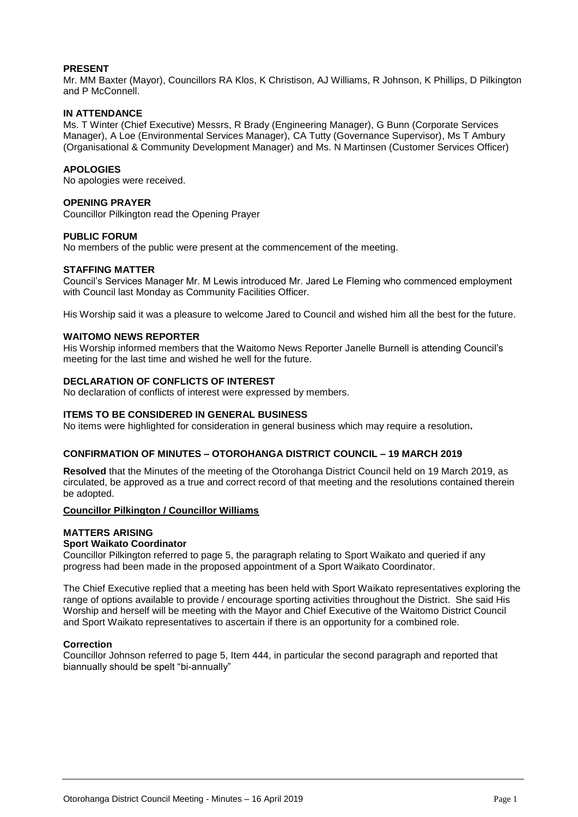#### **PRESENT**

Mr. MM Baxter (Mayor), Councillors RA Klos, K Christison, AJ Williams, R Johnson, K Phillips, D Pilkington and P McConnell.

#### **IN ATTENDANCE**

Ms. T Winter (Chief Executive) Messrs, R Brady (Engineering Manager), G Bunn (Corporate Services Manager), A Loe (Environmental Services Manager), CA Tutty (Governance Supervisor), Ms T Ambury (Organisational & Community Development Manager) and Ms. N Martinsen (Customer Services Officer)

#### **APOLOGIES**

No apologies were received.

#### **OPENING PRAYER**

Councillor Pilkington read the Opening Prayer

#### **PUBLIC FORUM**

No members of the public were present at the commencement of the meeting.

#### **STAFFING MATTER**

Council's Services Manager Mr. M Lewis introduced Mr. Jared Le Fleming who commenced employment with Council last Monday as Community Facilities Officer.

His Worship said it was a pleasure to welcome Jared to Council and wished him all the best for the future.

#### **WAITOMO NEWS REPORTER**

His Worship informed members that the Waitomo News Reporter Janelle Burnell is attending Council's meeting for the last time and wished he well for the future.

#### **DECLARATION OF CONFLICTS OF INTEREST**

No declaration of conflicts of interest were expressed by members.

#### **ITEMS TO BE CONSIDERED IN GENERAL BUSINESS**

No items were highlighted for consideration in general business which may require a resolution**.**

#### **CONFIRMATION OF MINUTES – OTOROHANGA DISTRICT COUNCIL – 19 MARCH 2019**

**Resolved** that the Minutes of the meeting of the Otorohanga District Council held on 19 March 2019, as circulated, be approved as a true and correct record of that meeting and the resolutions contained therein be adopted.

#### **Councillor Pilkington / Councillor Williams**

#### **MATTERS ARISING**

#### **Sport Waikato Coordinator**

Councillor Pilkington referred to page 5, the paragraph relating to Sport Waikato and queried if any progress had been made in the proposed appointment of a Sport Waikato Coordinator.

The Chief Executive replied that a meeting has been held with Sport Waikato representatives exploring the range of options available to provide / encourage sporting activities throughout the District. She said His Worship and herself will be meeting with the Mayor and Chief Executive of the Waitomo District Council and Sport Waikato representatives to ascertain if there is an opportunity for a combined role.

#### **Correction**

Councillor Johnson referred to page 5, Item 444, in particular the second paragraph and reported that biannually should be spelt "bi-annually"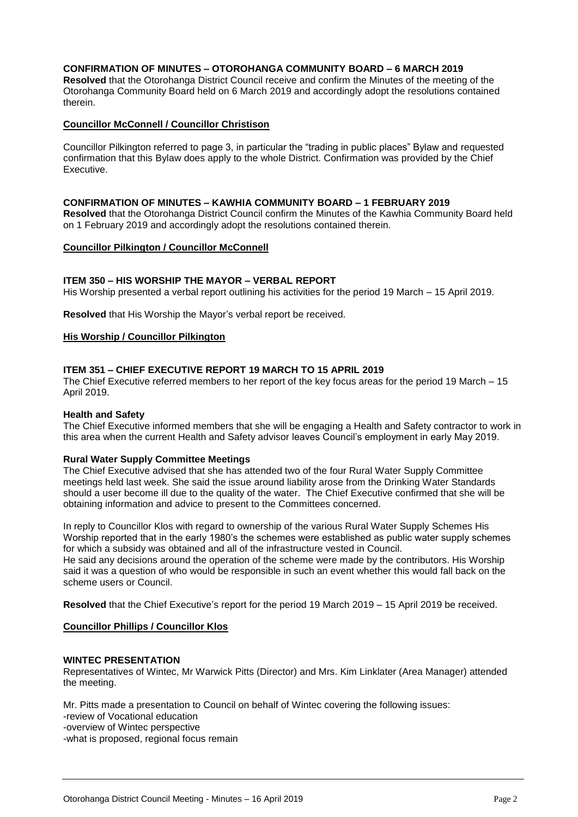#### **CONFIRMATION OF MINUTES – OTOROHANGA COMMUNITY BOARD – 6 MARCH 2019**

**Resolved** that the Otorohanga District Council receive and confirm the Minutes of the meeting of the Otorohanga Community Board held on 6 March 2019 and accordingly adopt the resolutions contained therein.

#### **Councillor McConnell / Councillor Christison**

Councillor Pilkington referred to page 3, in particular the "trading in public places" Bylaw and requested confirmation that this Bylaw does apply to the whole District. Confirmation was provided by the Chief Executive.

#### **CONFIRMATION OF MINUTES – KAWHIA COMMUNITY BOARD – 1 FEBRUARY 2019**

**Resolved** that the Otorohanga District Council confirm the Minutes of the Kawhia Community Board held on 1 February 2019 and accordingly adopt the resolutions contained therein.

#### **Councillor Pilkington / Councillor McConnell**

#### **ITEM 350 – HIS WORSHIP THE MAYOR – VERBAL REPORT**

His Worship presented a verbal report outlining his activities for the period 19 March – 15 April 2019.

**Resolved** that His Worship the Mayor's verbal report be received.

#### **His Worship / Councillor Pilkington**

#### **ITEM 351 – CHIEF EXECUTIVE REPORT 19 MARCH TO 15 APRIL 2019**

The Chief Executive referred members to her report of the key focus areas for the period 19 March – 15 April 2019.

#### **Health and Safety**

The Chief Executive informed members that she will be engaging a Health and Safety contractor to work in this area when the current Health and Safety advisor leaves Council's employment in early May 2019.

#### **Rural Water Supply Committee Meetings**

The Chief Executive advised that she has attended two of the four Rural Water Supply Committee meetings held last week. She said the issue around liability arose from the Drinking Water Standards should a user become ill due to the quality of the water. The Chief Executive confirmed that she will be obtaining information and advice to present to the Committees concerned.

In reply to Councillor Klos with regard to ownership of the various Rural Water Supply Schemes His Worship reported that in the early 1980's the schemes were established as public water supply schemes for which a subsidy was obtained and all of the infrastructure vested in Council.

He said any decisions around the operation of the scheme were made by the contributors. His Worship said it was a question of who would be responsible in such an event whether this would fall back on the scheme users or Council.

**Resolved** that the Chief Executive's report for the period 19 March 2019 – 15 April 2019 be received.

#### **Councillor Phillips / Councillor Klos**

#### **WINTEC PRESENTATION**

Representatives of Wintec, Mr Warwick Pitts (Director) and Mrs. Kim Linklater (Area Manager) attended the meeting.

Mr. Pitts made a presentation to Council on behalf of Wintec covering the following issues:

-review of Vocational education

-overview of Wintec perspective

-what is proposed, regional focus remain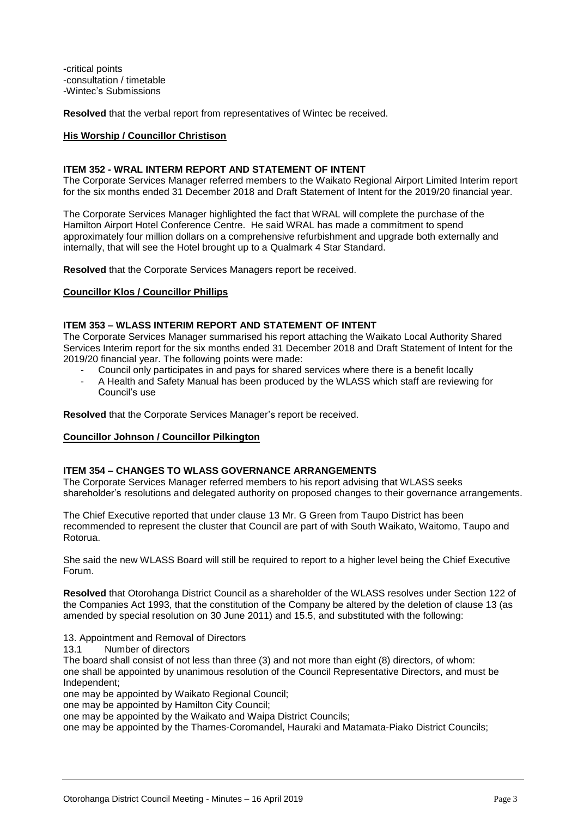-critical points -consultation / timetable -Wintec's Submissions

**Resolved** that the verbal report from representatives of Wintec be received.

#### **His Worship / Councillor Christison**

#### **ITEM 352 - WRAL INTERM REPORT AND STATEMENT OF INTENT**

The Corporate Services Manager referred members to the Waikato Regional Airport Limited Interim report for the six months ended 31 December 2018 and Draft Statement of Intent for the 2019/20 financial year.

The Corporate Services Manager highlighted the fact that WRAL will complete the purchase of the Hamilton Airport Hotel Conference Centre. He said WRAL has made a commitment to spend approximately four million dollars on a comprehensive refurbishment and upgrade both externally and internally, that will see the Hotel brought up to a Qualmark 4 Star Standard.

**Resolved** that the Corporate Services Managers report be received.

#### **Councillor Klos / Councillor Phillips**

#### **ITEM 353 – WLASS INTERIM REPORT AND STATEMENT OF INTENT**

The Corporate Services Manager summarised his report attaching the Waikato Local Authority Shared Services Interim report for the six months ended 31 December 2018 and Draft Statement of Intent for the 2019/20 financial year. The following points were made:

- Council only participates in and pays for shared services where there is a benefit locally
- A Health and Safety Manual has been produced by the WLASS which staff are reviewing for Council's use

**Resolved** that the Corporate Services Manager's report be received.

#### **Councillor Johnson / Councillor Pilkington**

#### **ITEM 354 – CHANGES TO WLASS GOVERNANCE ARRANGEMENTS**

The Corporate Services Manager referred members to his report advising that WLASS seeks shareholder's resolutions and delegated authority on proposed changes to their governance arrangements.

The Chief Executive reported that under clause 13 Mr. G Green from Taupo District has been recommended to represent the cluster that Council are part of with South Waikato, Waitomo, Taupo and Rotorua.

She said the new WLASS Board will still be required to report to a higher level being the Chief Executive Forum.

**Resolved** that Otorohanga District Council as a shareholder of the WLASS resolves under Section 122 of the Companies Act 1993, that the constitution of the Company be altered by the deletion of clause 13 (as amended by special resolution on 30 June 2011) and 15.5, and substituted with the following:

13. Appointment and Removal of Directors

13.1 Number of directors

The board shall consist of not less than three (3) and not more than eight (8) directors, of whom: one shall be appointed by unanimous resolution of the Council Representative Directors, and must be Independent;

one may be appointed by Waikato Regional Council;

one may be appointed by Hamilton City Council;

one may be appointed by the Waikato and Waipa District Councils;

one may be appointed by the Thames-Coromandel, Hauraki and Matamata-Piako District Councils;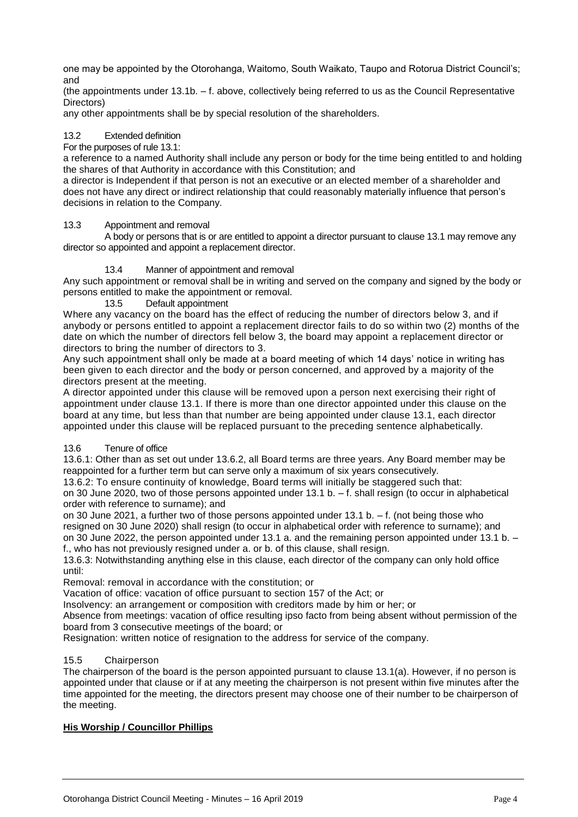one may be appointed by the Otorohanga, Waitomo, South Waikato, Taupo and Rotorua District Council's; and

(the appointments under 13.1b. – f. above, collectively being referred to us as the Council Representative Directors)

any other appointments shall be by special resolution of the shareholders.

#### 13.2 Extended definition

#### For the purposes of rule 13.1:

a reference to a named Authority shall include any person or body for the time being entitled to and holding the shares of that Authority in accordance with this Constitution; and

a director is Independent if that person is not an executive or an elected member of a shareholder and does not have any direct or indirect relationship that could reasonably materially influence that person's decisions in relation to the Company.

#### 13.3 Appointment and removal

A body or persons that is or are entitled to appoint a director pursuant to clause 13.1 may remove any director so appointed and appoint a replacement director.

#### 13.4 Manner of appointment and removal

Any such appointment or removal shall be in writing and served on the company and signed by the body or persons entitled to make the appointment or removal.

13.5 Default appointment

Where any vacancy on the board has the effect of reducing the number of directors below 3, and if anybody or persons entitled to appoint a replacement director fails to do so within two (2) months of the date on which the number of directors fell below 3, the board may appoint a replacement director or directors to bring the number of directors to 3.

Any such appointment shall only be made at a board meeting of which 14 days' notice in writing has been given to each director and the body or person concerned, and approved by a majority of the directors present at the meeting.

A director appointed under this clause will be removed upon a person next exercising their right of appointment under clause 13.1. If there is more than one director appointed under this clause on the board at any time, but less than that number are being appointed under clause 13.1, each director appointed under this clause will be replaced pursuant to the preceding sentence alphabetically.

#### 13.6 Tenure of office

13.6.1: Other than as set out under 13.6.2, all Board terms are three years. Any Board member may be reappointed for a further term but can serve only a maximum of six years consecutively.

13.6.2: To ensure continuity of knowledge, Board terms will initially be staggered such that:

on 30 June 2020, two of those persons appointed under 13.1 b. – f. shall resign (to occur in alphabetical order with reference to surname); and

on 30 June 2021, a further two of those persons appointed under 13.1 b. – f. (not being those who resigned on 30 June 2020) shall resign (to occur in alphabetical order with reference to surname); and on 30 June 2022, the person appointed under 13.1 a. and the remaining person appointed under 13.1 b. – f., who has not previously resigned under a. or b. of this clause, shall resign.

13.6.3: Notwithstanding anything else in this clause, each director of the company can only hold office until:

Removal: removal in accordance with the constitution; or

Vacation of office: vacation of office pursuant to section 157 of the Act; or

Insolvency: an arrangement or composition with creditors made by him or her; or

Absence from meetings: vacation of office resulting ipso facto from being absent without permission of the board from 3 consecutive meetings of the board; or

Resignation: written notice of resignation to the address for service of the company.

#### 15.5 Chairperson

The chairperson of the board is the person appointed pursuant to clause 13.1(a). However, if no person is appointed under that clause or if at any meeting the chairperson is not present within five minutes after the time appointed for the meeting, the directors present may choose one of their number to be chairperson of the meeting.

#### **His Worship / Councillor Phillips**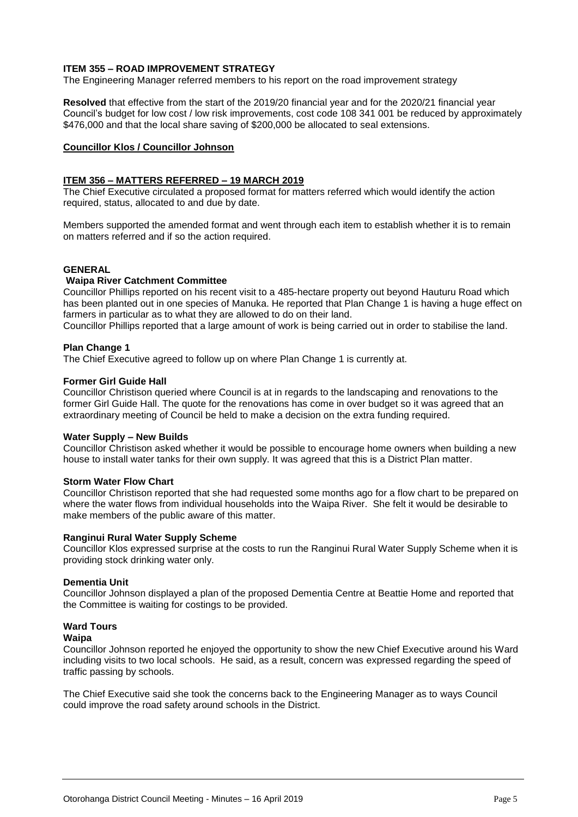#### **ITEM 355 – ROAD IMPROVEMENT STRATEGY**

The Engineering Manager referred members to his report on the road improvement strategy

**Resolved** that effective from the start of the 2019/20 financial year and for the 2020/21 financial year Council's budget for low cost / low risk improvements, cost code 108 341 001 be reduced by approximately \$476,000 and that the local share saving of \$200,000 be allocated to seal extensions.

#### **Councillor Klos / Councillor Johnson**

#### **ITEM 356 – MATTERS REFERRED – 19 MARCH 2019**

The Chief Executive circulated a proposed format for matters referred which would identify the action required, status, allocated to and due by date.

Members supported the amended format and went through each item to establish whether it is to remain on matters referred and if so the action required.

#### **GENERAL**

#### **Waipa River Catchment Committee**

Councillor Phillips reported on his recent visit to a 485-hectare property out beyond Hauturu Road which has been planted out in one species of Manuka. He reported that Plan Change 1 is having a huge effect on farmers in particular as to what they are allowed to do on their land.

Councillor Phillips reported that a large amount of work is being carried out in order to stabilise the land.

#### **Plan Change 1**

The Chief Executive agreed to follow up on where Plan Change 1 is currently at.

#### **Former Girl Guide Hall**

Councillor Christison queried where Council is at in regards to the landscaping and renovations to the former Girl Guide Hall. The quote for the renovations has come in over budget so it was agreed that an extraordinary meeting of Council be held to make a decision on the extra funding required.

#### **Water Supply – New Builds**

Councillor Christison asked whether it would be possible to encourage home owners when building a new house to install water tanks for their own supply. It was agreed that this is a District Plan matter.

#### **Storm Water Flow Chart**

Councillor Christison reported that she had requested some months ago for a flow chart to be prepared on where the water flows from individual households into the Waipa River. She felt it would be desirable to make members of the public aware of this matter.

#### **Ranginui Rural Water Supply Scheme**

Councillor Klos expressed surprise at the costs to run the Ranginui Rural Water Supply Scheme when it is providing stock drinking water only.

#### **Dementia Unit**

Councillor Johnson displayed a plan of the proposed Dementia Centre at Beattie Home and reported that the Committee is waiting for costings to be provided.

## **Ward Tours**

#### **Waipa**

Councillor Johnson reported he enjoyed the opportunity to show the new Chief Executive around his Ward including visits to two local schools. He said, as a result, concern was expressed regarding the speed of traffic passing by schools.

The Chief Executive said she took the concerns back to the Engineering Manager as to ways Council could improve the road safety around schools in the District.